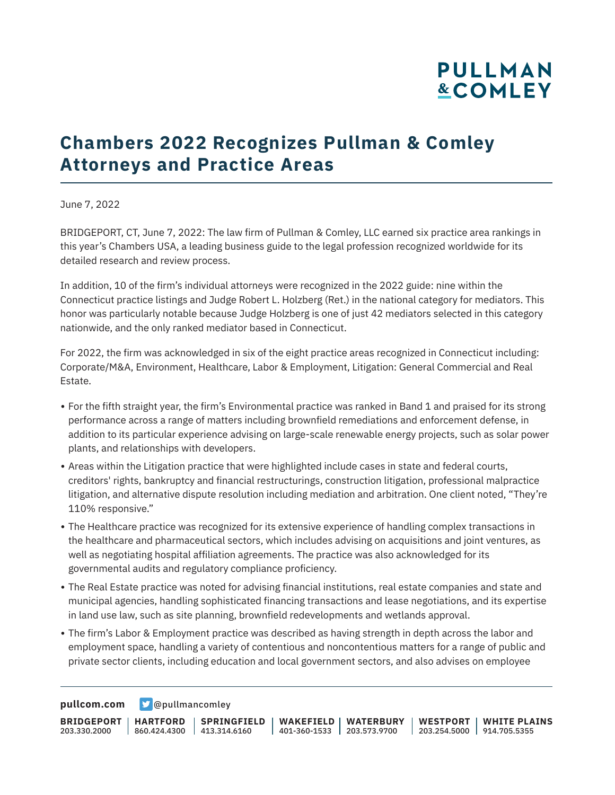# **PULLMAN &COMLEY**

## **Chambers 2022 Recognizes Pullman & Comley Attorneys and Practice Areas**

June 7, 2022

BRIDGEPORT, CT, June 7, 2022: The law firm of Pullman & Comley, LLC earned six practice area rankings in this year's Chambers USA, a leading business guide to the legal profession recognized worldwide for its detailed research and review process.

In addition, 10 of the firm's individual attorneys were recognized in the 2022 guide: nine within the Connecticut practice listings and Judge Robert L. Holzberg (Ret.) in the national category for mediators. This honor was particularly notable because Judge Holzberg is one of just 42 mediators selected in this category nationwide, and the only ranked mediator based in Connecticut.

For 2022, the firm was acknowledged in six of the eight practice areas recognized in Connecticut including: Corporate/M&A, Environment, Healthcare, Labor & Employment, Litigation: General Commercial and Real Estate.

- For the fifth straight year, the firm's Environmental practice was ranked in Band 1 and praised for its strong performance across a range of matters including brownfield remediations and enforcement defense, in addition to its particular experience advising on large-scale renewable energy projects, such as solar power plants, and relationships with developers.
- Areas within the Litigation practice that were highlighted include cases in state and federal courts, creditors' rights, bankruptcy and financial restructurings, construction litigation, professional malpractice litigation, and alternative dispute resolution including mediation and arbitration. One client noted, "They're 110% responsive."
- The Healthcare practice was recognized for its extensive experience of handling complex transactions in the healthcare and pharmaceutical sectors, which includes advising on acquisitions and joint ventures, as well as negotiating hospital affiliation agreements. The practice was also acknowledged for its governmental audits and regulatory compliance proficiency.
- The Real Estate practice was noted for advising financial institutions, real estate companies and state and municipal agencies, handling sophisticated financing transactions and lease negotiations, and its expertise in land use law, such as site planning, brownfield redevelopments and wetlands approval.
- The firm's Labor & Employment practice was described as having strength in depth across the labor and employment space, handling a variety of contentious and noncontentious matters for a range of public and private sector clients, including education and local government sectors, and also advises on employee

**[pullcom.com](https://www.pullcom.com) g** [@pullmancomley](https://twitter.com/PullmanComley)

**BRIDGEPORT** 203.330.2000 **HARTFORD** 860.424.4300 413.314.6160 **SPRINGFIELD WAKEFIELD WATERBURY** 401-360-1533 203.573.9700 **WESTPORT WHITE PLAINS** 203.254.5000 914.705.5355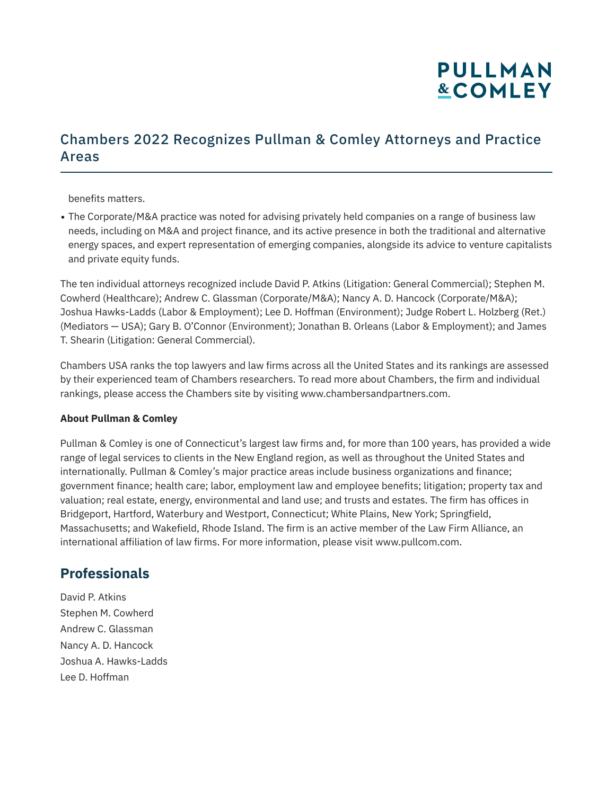# **PULLMAN &COMLEY**

### Chambers 2022 Recognizes Pullman & Comley Attorneys and Practice Areas

benefits matters.

• The Corporate/M&A practice was noted for advising privately held companies on a range of business law needs, including on M&A and project finance, and its active presence in both the traditional and alternative energy spaces, and expert representation of emerging companies, alongside its advice to venture capitalists and private equity funds.

The ten individual attorneys recognized include David P. Atkins (Litigation: General Commercial); Stephen M. Cowherd (Healthcare); Andrew C. Glassman (Corporate/M&A); Nancy A. D. Hancock (Corporate/M&A); Joshua Hawks-Ladds (Labor & Employment); Lee D. Hoffman (Environment); Judge Robert L. Holzberg (Ret.) (Mediators — USA); Gary B. O'Connor (Environment); Jonathan B. Orleans (Labor & Employment); and James T. Shearin (Litigation: General Commercial).

Chambers USA ranks the top lawyers and law firms across all the United States and its rankings are assessed by their experienced team of Chambers researchers. To read more about Chambers, the firm and individual rankings, please access the Chambers site by visiting www.chambersandpartners.com.

#### **About Pullman & Comley**

Pullman & Comley is one of Connecticut's largest law firms and, for more than 100 years, has provided a wide range of legal services to clients in the New England region, as well as throughout the United States and internationally. Pullman & Comley's major practice areas include business organizations and finance; government finance; health care; labor, employment law and employee benefits; litigation; property tax and valuation; real estate, energy, environmental and land use; and trusts and estates. The firm has offices in Bridgeport, Hartford, Waterbury and Westport, Connecticut; White Plains, New York; Springfield, Massachusetts; and Wakefield, Rhode Island. The firm is an active member of the Law Firm Alliance, an international affiliation of law firms. For more information, please visit www.pullcom.com.

### **Professionals**

David P. Atkins Stephen M. Cowherd Andrew C. Glassman Nancy A. D. Hancock Joshua A. Hawks-Ladds Lee D. Hoffman